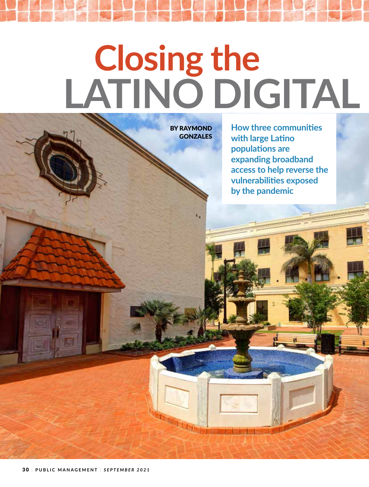## **- Closing the** LATINO DIGITAL

BY RAYMOND **GONZALES** 

**How three communities**  $\frac{1}{2}$  with large Latino **populations are expanding broadband access to help reverse the vulnerabilities exposed by the pandemic**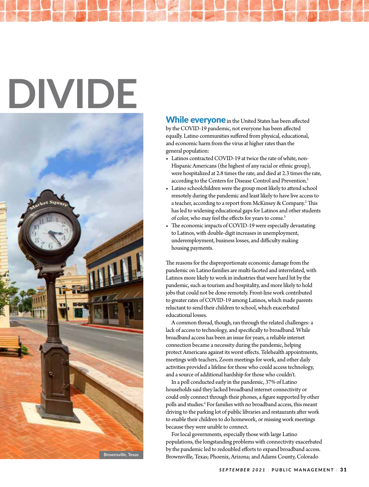# **DIVIDE**



While everyone in the United States has been affected by the COVID-19 pandemic, not everyone has been affected equally. Latino communities suffered from physical, educational, and economic harm from the virus at higher rates than the general population:

- Latinos contracted COVID-19 at twice the rate of white, non-Hispanic Americans (the highest of any racial or ethnic group), were hospitalized at 2.8 times the rate, and died at 2.3 times the rate, according to the Centers for Disease Control and Prevention.<sup>1</sup>
- Latino schoolchildren were the group most likely to attend school remotely during the pandemic and least likely to have live access to a teacher, according to a report from McKinsey & Company.<sup>2</sup> This has led to widening educational gaps for Latinos and other students of color, who may feel the effects for years to come.<sup>3</sup>
- $\bullet$  The economic impacts of COVID-19 were especially devastating to Latinos, with double-digit increases in unemployment, underemployment, business losses, and difficulty making housing payments.

The reasons for the disproportionate economic damage from the pandemic on Latino families are multi-faceted and interrelated, with Latinos more likely to work in industries that were hard hit by the pandemic, such as tourism and hospitality, and more likely to hold jobs that could not be done remotely. Front-line work contributed to greater rates of COVID-19 among Latinos, which made parents reluctant to send their children to school, which exacerbated educational losses.

A common thread, though, ran through the related challenges: a lack of access to technology, and specifically to broadband. While broadband access has been an issue for years, a reliable internet connection became a necessity during the pandemic, helping protect Americans against its worst effects. Telehealth appointments, meetings with teachers, Zoom meetings for work, and other daily activities provided a lifeline for those who could access technology, and a source of additional hardship for those who couldn't.

In a poll conducted early in the pandemic, 37% of Latino households said they lacked broadband internet connectivity or could only connect through their phones, a figure supported by other polls and studies.4 For families with no broadband access, this meant driving to the parking lot of public libraries and restaurants after work to enable their children to do homework, or missing work meetings because they were unable to connect.

For local governments, especially those with large Latino populations, the longstanding problems with connectivity exacerbated by the pandemic led to redoubled efforts to expand broadband access. Brownsville, Texas; Phoenix, Arizona; and Adams County, Colorado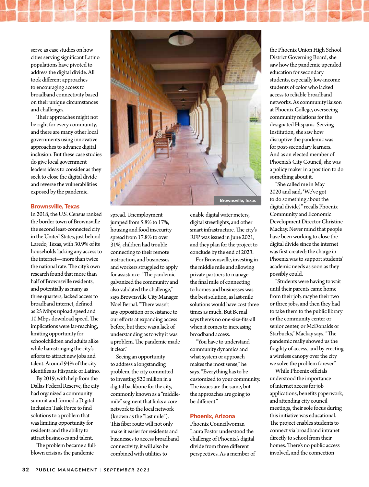

serve as case studies on how cities serving significant Latino populations have pivoted to address the digital divide. All took different approaches to encouraging access to broadband connectivity based on their unique circumstances and challenges.

Their approaches might not be right for every community, and there are many other local governments using innovative approaches to advance digital inclusion. But these case studies do give local government leaders ideas to consider as they seek to close the digital divide and reverse the vulnerabilities exposed by the pandemic.

### Brownsville, Texas

In 2018, the U.S. Census ranked the border town of Brownsville the second least-connected city in the United States, just behind Laredo, Texas, with 30.9% of its households lacking any access to the internet—more than twice the national rate. The city's own research found that more than half of Brownsville residents, and potentially as many as three quarters, lacked access to broadband internet, defined as 25 Mbps upload speed and 10 Mbps download speed. The implications were far-reaching, limiting opportunity for schoolchildren and adults alike while hamstringing the city's efforts to attract new jobs and talent. Around 94% of the city identifies as Hispanic or Latino.

By 2019, with help from the Dallas Federal Reserve, the city had organized a community summit and formed a Digital Inclusion Task Force to find solutions to a problem that was limiting opportunity for residents and the ability to attract businesses and talent.

The problem became a fullblown crisis as the pandemic



spread. Unemployment jumped from 5.8% to 17%, housing and food insecurity spread from 17.8% to over 31%, children had trouble connecting to their remote instruction, and businesses and workers struggled to apply for assistance. "The pandemic galvanized the community and also validated the challenge," says Brownsville City Manager Noel Bernal. "There wasn't any opposition or resistance to our efforts at expanding access before, but there was a lack of understanding as to why it was a problem. The pandemic made it clear."

Seeing an opportunity to address a longstanding problem, the city committed to investing \$20 million in a digital backbone for the city, commonly known as a "middlemile" segment that links a core network to the local network (known as the "last mile"). This fiber route will not only make it easier for residents and businesses to access broadband connectivity, it will also be combined with utilities to

enable digital water meters, digital streetlights, and other smart infrastructure. The city's RFP was issued in June 2021, and they plan for the project to conclude by the end of 2023.

For Brownsville, investing in the middle mile and allowing private partners to manage the final mile of connecting to homes and businesses was the best solution, as last-mile solutions would have cost three times as much. But Bernal says there's no one-size-fits-all when it comes to increasing broadband access.

"You have to understand community dynamics and what system or approach makes the most sense," he says. "Everything has to be customized to your community. The issues are the same, but the approaches are going to be different."

### Phoenix, Arizona

Phoenix Councilwoman Laura Pastor understood the challenge of Phoenix's digital divide from three different perspectives. As a member of

the Phoenix Union High School District Governing Board, she saw how the pandemic upended education for secondary students, especially low-income students of color who lacked access to reliable broadband networks. As community liaison at Phoenix College, overseeing community relations for the designated Hispanic-Serving Institution, she saw how disruptive the pandemic was for post-secondary learners. And as an elected member of Phoenix's City Council, she was a policy maker in a position to do something about it.

"She called me in May 2020 and said, 'We've got to do something about the digital divide,'" recalls Phoenix Community and Economic Development Director Christine Mackay. Never mind that people have been working to close the digital divide since the internet was first created; the charge in Phoenix was to support students' academic needs as soon as they possibly could.

"Students were having to wait until their parents came home from their job, maybe their two or three jobs, and then they had to take them to the public library or the community center or senior center, or McDonalds or Starbucks," Mackay says. "The pandemic really showed us the fragility of access, and by erecting a wireless canopy over the city we solve the problem forever."

While Phoenix officials understood the importance of internet access for job applications, benefits paperwork, and attending city council meetings, their sole focus during this initiative was educational. The project enables students to connect via broadband intranet directly to school from their homes. There's no public access involved, and the connection